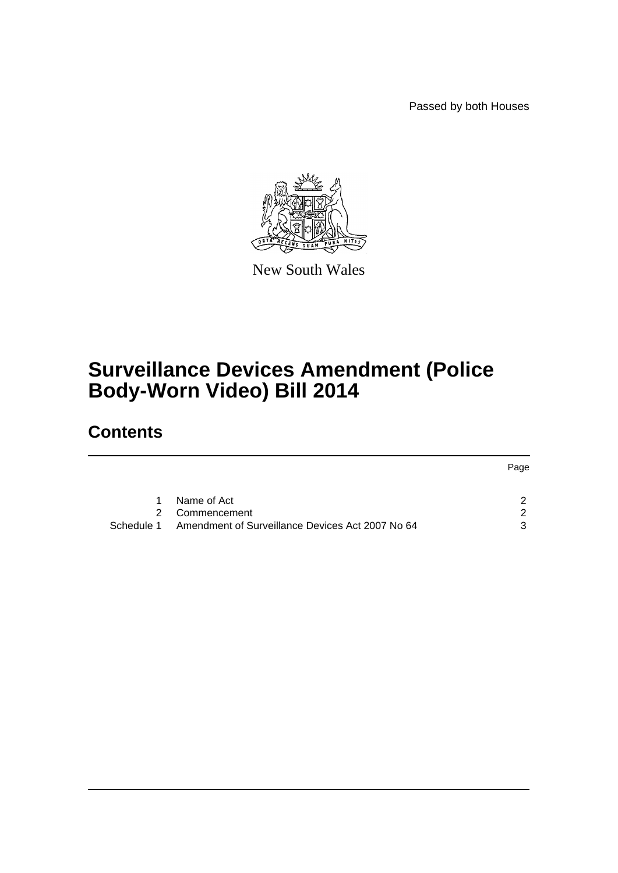Passed by both Houses



New South Wales

## **Surveillance Devices Amendment (Police Body-Worn Video) Bill 2014**

## **Contents**

|            |                                                  | Page |
|------------|--------------------------------------------------|------|
|            | Name of Act                                      | ົ    |
| 2          | Commencement                                     | - 2  |
| Schedule 1 | Amendment of Surveillance Devices Act 2007 No 64 | 3    |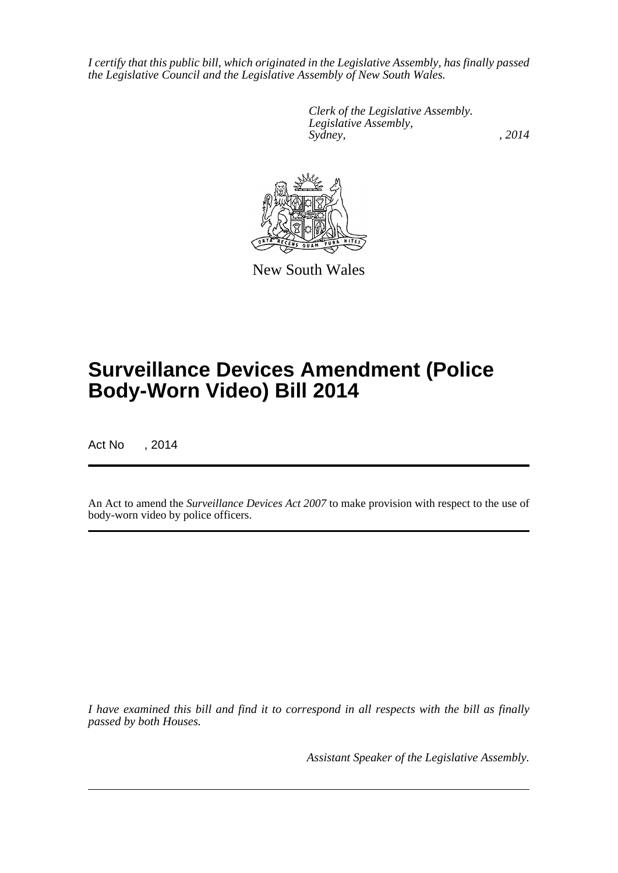*I certify that this public bill, which originated in the Legislative Assembly, has finally passed the Legislative Council and the Legislative Assembly of New South Wales.*

> *Clerk of the Legislative Assembly. Legislative Assembly, Sydney,* , 2014



New South Wales

# **Surveillance Devices Amendment (Police Body-Worn Video) Bill 2014**

Act No , 2014

An Act to amend the *Surveillance Devices Act 2007* to make provision with respect to the use of body-worn video by police officers.

*I have examined this bill and find it to correspond in all respects with the bill as finally passed by both Houses.*

*Assistant Speaker of the Legislative Assembly.*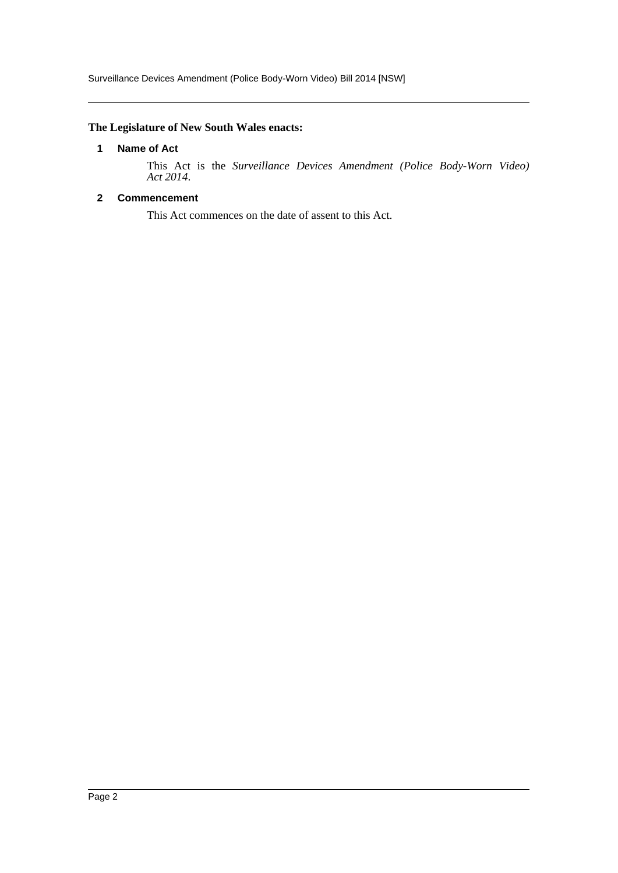### <span id="page-2-0"></span>**The Legislature of New South Wales enacts:**

#### **1 Name of Act**

This Act is the *Surveillance Devices Amendment (Police Body-Worn Video) Act 2014*.

#### <span id="page-2-1"></span>**2 Commencement**

This Act commences on the date of assent to this Act.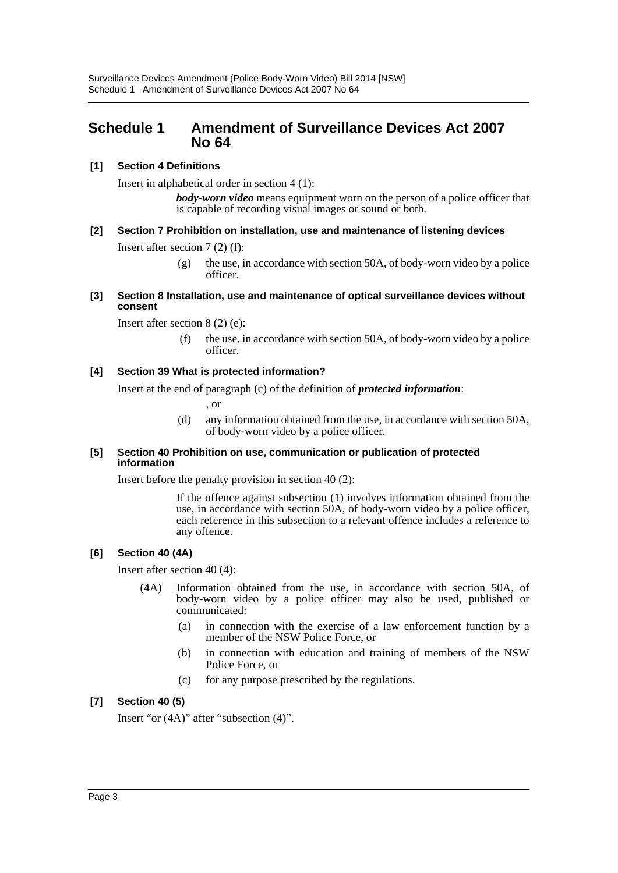### <span id="page-3-0"></span>**Schedule 1 Amendment of Surveillance Devices Act 2007 No 64**

#### **[1] Section 4 Definitions**

Insert in alphabetical order in section 4 (1):

*body-worn video* means equipment worn on the person of a police officer that is capable of recording visual images or sound or both.

#### **[2] Section 7 Prohibition on installation, use and maintenance of listening devices**

Insert after section 7 (2) (f):

- (g) the use, in accordance with section 50A, of body-worn video by a police officer.
- **[3] Section 8 Installation, use and maintenance of optical surveillance devices without consent**

Insert after section 8 (2) (e):

(f) the use, in accordance with section 50A, of body-worn video by a police officer.

#### **[4] Section 39 What is protected information?**

Insert at the end of paragraph (c) of the definition of *protected information*:

, or

(d) any information obtained from the use, in accordance with section 50A, of body-worn video by a police officer.

#### **[5] Section 40 Prohibition on use, communication or publication of protected information**

Insert before the penalty provision in section 40 (2):

If the offence against subsection (1) involves information obtained from the use, in accordance with section 50A, of body-worn video by a police officer, each reference in this subsection to a relevant offence includes a reference to any offence.

#### **[6] Section 40 (4A)**

Insert after section 40 (4):

- (4A) Information obtained from the use, in accordance with section 50A, of body-worn video by a police officer may also be used, published or communicated:
	- (a) in connection with the exercise of a law enforcement function by a member of the NSW Police Force, or
	- (b) in connection with education and training of members of the NSW Police Force, or
	- (c) for any purpose prescribed by the regulations.

#### **[7] Section 40 (5)**

Insert "or (4A)" after "subsection (4)".